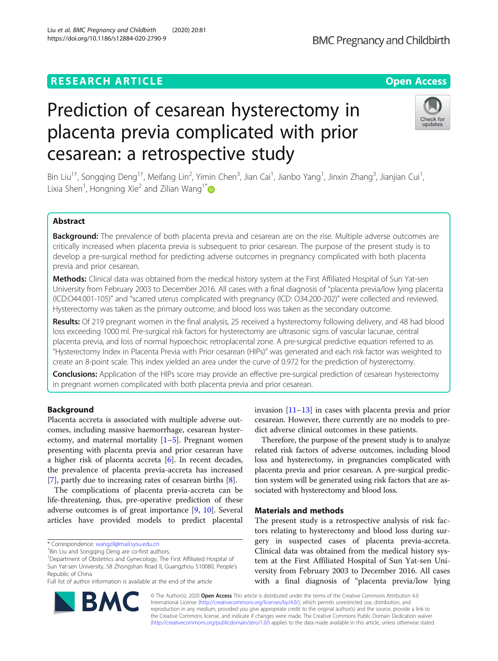# **RESEARCH ARTICLE Example 2014 CONSIDERING A RESEARCH ARTICLE**

# Prediction of cesarean hysterectomy in placenta previa complicated with prior cesarean: a retrospective study

Bin Liu<sup>1†</sup>, Songqing Deng<sup>1†</sup>, Meifang Lin<sup>2</sup>, Yimin Chen<sup>3</sup>, Jian Cai<sup>1</sup>, Jianbo Yang<sup>1</sup>, Jinxin Zhang<sup>3</sup>, Jianjian Cui<sup>1</sup> , Lixia Shen<sup>1</sup>, Hongning Xie<sup>2</sup> and Zilian Wang<sup>1[\\*](http://orcid.org/0000-0002-8902-8215)</sup>

# Abstract

Background: The prevalence of both placenta previa and cesarean are on the rise. Multiple adverse outcomes are critically increased when placenta previa is subsequent to prior cesarean. The purpose of the present study is to develop a pre-surgical method for predicting adverse outcomes in pregnancy complicated with both placenta previa and prior cesarean.

Methods: Clinical data was obtained from the medical history system at the First Affiliated Hospital of Sun Yat-sen University from February 2003 to December 2016. All cases with a final diagnosis of "placenta previa/low lying placenta (ICD:O44.001-105)" and "scarred uterus complicated with pregnancy (ICD: O34.200-202)" were collected and reviewed. Hysterectomy was taken as the primary outcome; and blood loss was taken as the secondary outcome.

Results: Of 219 pregnant women in the final analysis, 25 received a hysterectomy following delivery, and 48 had blood loss exceeding 1000 ml. Pre-surgical risk factors for hysterectomy are ultrasonic signs of vascular lacunae, central placenta previa, and loss of normal hypoechoic retroplacental zone. A pre-surgical predictive equation referred to as "Hysterectomy Index in Placenta Previa with Prior cesarean (HIPs)" was generated and each risk factor was weighted to create an 8-point scale. This index yielded an area under the curve of 0.972 for the prediction of hysterectomy.

**Conclusions:** Application of the HIPs score may provide an effective pre-surgical prediction of cesarean hysterectomy in pregnant women complicated with both placenta previa and prior cesarean.

# Background

Placenta accreta is associated with multiple adverse outcomes, including massive haemorrhage, cesarean hysterectomy, and maternal mortality  $[1-5]$  $[1-5]$  $[1-5]$  $[1-5]$ . Pregnant women presenting with placenta previa and prior cesarean have a higher risk of placenta accreta [\[6](#page-5-0)]. In recent decades, the prevalence of placenta previa-accreta has increased [[7\]](#page-5-0), partly due to increasing rates of cesarean births [[8](#page-5-0)].

The complications of placenta previa-accreta can be life-threatening, thus, pre-operative prediction of these adverse outcomes is of great importance [\[9](#page-5-0), [10\]](#page-5-0). Several articles have provided models to predict placental

\* Correspondence: [wangzil@mail.sysu.edu.cn](mailto:wangzil@mail.sysu.edu.cn) †

<sup>+</sup>Bin Liu and Songqing Deng are co-first authors.

Full list of author information is available at the end of the article

invasion [\[11](#page-5-0)–[13\]](#page-5-0) in cases with placenta previa and prior cesarean. However, there currently are no models to predict adverse clinical outcomes in these patients.

Therefore, the purpose of the present study is to analyze related risk factors of adverse outcomes, including blood loss and hysterectomy, in pregnancies complicated with placenta previa and prior cesarean. A pre-surgical prediction system will be generated using risk factors that are associated with hysterectomy and blood loss.

# Materials and methods

The present study is a retrospective analysis of risk factors relating to hysterectomy and blood loss during surgery in suspected cases of placenta previa-accreta. Clinical data was obtained from the medical history system at the First Affiliated Hospital of Sun Yat-sen University from February 2003 to December 2016. All cases with a final diagnosis of "placenta previa/low lying

© The Author(s). 2020 Open Access This article is distributed under the terms of the Creative Commons Attribution 4.0 International License [\(http://creativecommons.org/licenses/by/4.0/](http://creativecommons.org/licenses/by/4.0/)), which permits unrestricted use, distribution, and reproduction in any medium, provided you give appropriate credit to the original author(s) and the source, provide a link to the Creative Commons license, and indicate if changes were made. The Creative Commons Public Domain Dedication waiver [\(http://creativecommons.org/publicdomain/zero/1.0/](http://creativecommons.org/publicdomain/zero/1.0/)) applies to the data made available in this article, unless otherwise stated.



**BMC Pregnancy and Childbirth** 





<sup>&</sup>lt;sup>1</sup>Department of Obstetrics and Gynecology, The First Affiliated Hospital of Sun Yat-sen University, 58 Zhongshan Road II, Guangzhou 510080, People's Republic of China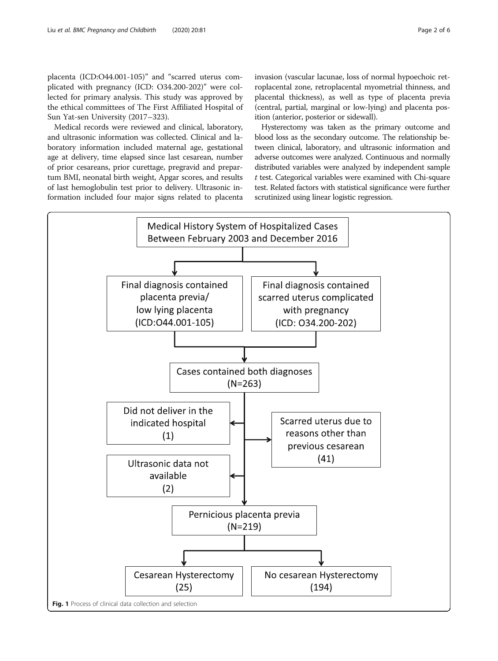<span id="page-1-0"></span>placenta (ICD:O44.001-105)" and "scarred uterus complicated with pregnancy (ICD: O34.200-202)" were collected for primary analysis. This study was approved by the ethical committees of The First Affiliated Hospital of Sun Yat-sen University (2017–323).

Medical records were reviewed and clinical, laboratory, and ultrasonic information was collected. Clinical and laboratory information included maternal age, gestational age at delivery, time elapsed since last cesarean, number of prior cesareans, prior curettage, pregravid and prepartum BMI, neonatal birth weight, Apgar scores, and results of last hemoglobulin test prior to delivery. Ultrasonic information included four major signs related to placenta invasion (vascular lacunae, loss of normal hypoechoic retroplacental zone, retroplacental myometrial thinness, and placental thickness), as well as type of placenta previa (central, partial, marginal or low-lying) and placenta position (anterior, posterior or sidewall).

Hysterectomy was taken as the primary outcome and blood loss as the secondary outcome. The relationship between clinical, laboratory, and ultrasonic information and adverse outcomes were analyzed. Continuous and normally distributed variables were analyzed by independent sample t test. Categorical variables were examined with Chi-square test. Related factors with statistical significance were further scrutinized using linear logistic regression.

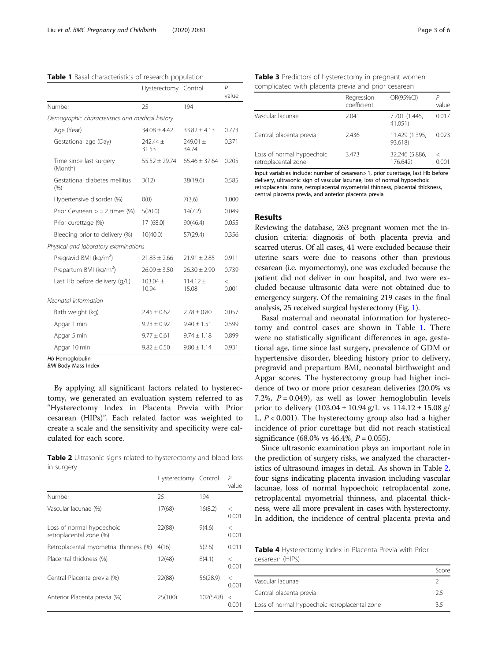<span id="page-2-0"></span>

| Table 1 Basal characteristics of research population |  |  |  |
|------------------------------------------------------|--|--|--|
|------------------------------------------------------|--|--|--|

|                                                 | Hysterectomy Control |                     | $\overline{P}$<br>value |
|-------------------------------------------------|----------------------|---------------------|-------------------------|
| Number                                          | 25                   | 194                 |                         |
| Demographic characteristics and medical history |                      |                     |                         |
| Age (Year)                                      | $34.08 + 4.42$       | $33.82 + 4.13$      | 0.773                   |
| Gestational age (Day)                           | 242.44 ±<br>31.53    | $749.01 +$<br>34.74 | 0.371                   |
| Time since last surgery<br>(Month)              | $55.52 \pm 29.74$    | $65.46 + 37.64$     | 0.205                   |
| Gestational diabetes mellitus<br>(96)           | 3(12)                | 38(19.6)            | 0.585                   |
| Hypertensive disorder (%)                       | O(0)                 | 7(3.6)              | 1.000                   |
| Prior Cesarean $>$ = 2 times (%)                | 5(20.0)              | 14(7.2)             | 0.049                   |
| Prior curettage (%)                             | 17 (68.0)            | 90(46.4)            | 0.055                   |
| Bleeding prior to delivery (%)                  | 10(40.0)             | 57(29.4)            | 0.356                   |
| Physical and laboratory examinations            |                      |                     |                         |
| Pregravid BMI (kg/m <sup>2</sup> )              | $21.83 \pm 2.66$     | $21.91 \pm 2.85$    | 0.911                   |
| Prepartum BMI ( $\text{kg/m}^2$ )               | $26.09 \pm 3.50$     | $26.30 \pm 2.90$    | 0.739                   |
| Last Hb before delivery (q/L)                   | $103.04 +$<br>10.94  | $114.12 +$<br>15.08 | $\,<\,$<br>0.001        |
| Neonatal information                            |                      |                     |                         |
| Birth weight (kg)                               | $2.45 \pm 0.62$      | $2.78 \pm 0.80$     | 0.057                   |
| Apgar 1 min                                     | $9.23 \pm 0.92$      | $9.40 \pm 1.51$     | 0.599                   |
| Apgar 5 min                                     | $9.77 \pm 0.61$      | $9.74 \pm 1.18$     | 0.899                   |
| Apgar 10 min                                    | $9.82 \pm 0.50$      | $9.80 \pm 1.14$     | 0.931                   |
| Hb Hemoalobulin                                 |                      |                     |                         |

BMI Body Mass Index

By applying all significant factors related to hysterectomy, we generated an evaluation system referred to as "Hysterectomy Index in Placenta Previa with Prior cesarean (HIPs)". Each related factor was weighted to create a scale and the sensitivity and specificity were calculated for each score.

Table 2 Ultrasonic signs related to hysterectomy and blood loss in surgery

|                                                      | Hysterectomy Control |           | $\overline{P}$<br>value |
|------------------------------------------------------|----------------------|-----------|-------------------------|
| Number                                               | 25                   | 194       |                         |
| Vascular lacunae (%)                                 | 17(68)               | 16(8.2)   | $\,<\,$<br>0.001        |
| Loss of normal hypoechoic<br>retroplacental zone (%) | 22(88)               | 9(4.6)    | $\,<\,$<br>0.001        |
| Retroplacental myometrial thinness (%)               | 4(16)                | 5(2.6)    | 0.011                   |
| Placental thickness (%)                              | 12(48)               | 8(4.1)    | $\,<\,$<br>0.001        |
| Central Placenta previa (%)                          | 22(88)               | 56(28.9)  | $\lt$<br>0.001          |
| Anterior Placenta previa (%)                         | 25(100)              | 102(54.8) | $\,<\,$<br>0.001        |

|                                                  | Regression<br>coefficient | OR(95%CI)                  | value      |
|--------------------------------------------------|---------------------------|----------------------------|------------|
| Vascular lacunae                                 | 2.041                     | 7.701 (1.445,<br>41.051)   | 0.017      |
| Central placenta previa                          | 2.436                     | 11.429 (1.395,<br>93.618)  | 0.023      |
| Loss of normal hypoechoic<br>retroplacental zone | 3.473                     | 32.246 (5.886,<br>176.642) | <<br>0.001 |

Input variables include: number of cesarean> 1, prior curettage, last Hb before delivery, ultrasonic sign of vascular lacunae, loss of normal hypoechoic retroplacental zone, retroplacental myometrial thinness, placental thickness, central placenta previa, and anterior placenta previa

# Results

Reviewing the database, 263 pregnant women met the inclusion criteria: diagnosis of both placenta previa and scarred uterus. Of all cases, 41 were excluded because their uterine scars were due to reasons other than previous cesarean (i.e. myomectomy), one was excluded because the patient did not deliver in our hospital, and two were excluded because ultrasonic data were not obtained due to emergency surgery. Of the remaining 219 cases in the final analysis, 25 received surgical hysterectomy (Fig. [1](#page-1-0)).

Basal maternal and neonatal information for hysterectomy and control cases are shown in Table 1. There were no statistically significant differences in age, gestational age, time since last surgery, prevalence of GDM or hypertensive disorder, bleeding history prior to delivery, pregravid and prepartum BMI, neonatal birthweight and Apgar scores. The hysterectomy group had higher incidence of two or more prior cesarean deliveries (20.0% vs 7.2%,  $P = 0.049$ ), as well as lower hemoglobulin levels prior to delivery  $(103.04 \pm 10.94 \text{ g/L} \text{ vs } 114.12 \pm 15.08 \text{ g/m}$ L,  $P < 0.001$ ). The hysterectomy group also had a higher incidence of prior curettage but did not reach statistical significance (68.0% vs 46.4%,  $P = 0.055$ ).

Since ultrasonic examination plays an important role in the prediction of surgery risks, we analyzed the characteristics of ultrasound images in detail. As shown in Table 2, four signs indicating placenta invasion including vascular lacunae, loss of normal hypoechoic retroplacental zone, retroplacental myometrial thinness, and placental thickness, were all more prevalent in cases with hysterectomy. In addition, the incidence of central placenta previa and

Table 4 Hysterectomy Index in Placenta Previa with Prior cesarean (HIPs)

|                                               | Score |
|-----------------------------------------------|-------|
| Vascular lacunae                              |       |
| Central placenta previa                       | 25    |
| Loss of normal hypoechoic retroplacental zone | 35    |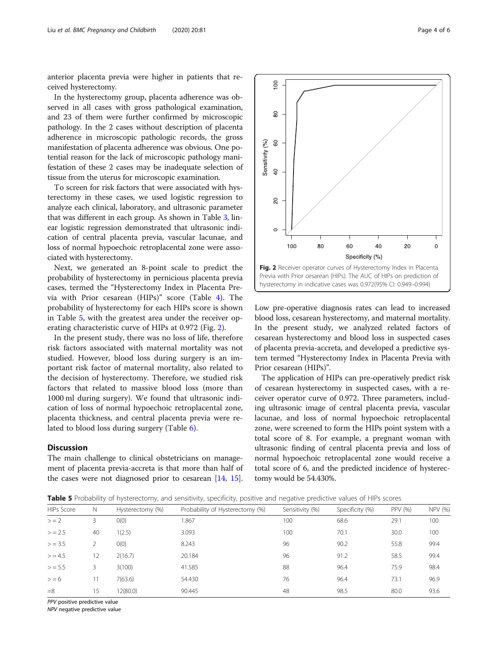anterior placenta previa were higher in patients that received hysterectomy.

In the hysterectomy group, placenta adherence was observed in all cases with gross pathological examination, and 23 of them were further confirmed by microscopic pathology. In the 2 cases without description of placenta adherence in microscopic pathologic records, the gross manifestation of placenta adherence was obvious. One potential reason for the lack of microscopic pathology manifestation of these 2 cases may be inadequate selection of tissue from the uterus for microscopic examination.

To screen for risk factors that were associated with hysterectomy in these cases, we used logistic regression to analyze each clinical, laboratory, and ultrasonic parameter that was different in each group. As shown in Table [3,](#page-2-0) linear logistic regression demonstrated that ultrasonic indication of central placenta previa, vascular lacunae, and loss of normal hypoechoic retroplacental zone were associated with hysterectomy.

Next, we generated an 8-point scale to predict the probability of hysterectomy in pernicious placenta previa cases, termed the "Hysterectomy Index in Placenta Previa with Prior cesarean (HIPs)" score (Table [4](#page-2-0)). The probability of hysterectomy for each HIPs score is shown in Table 5, with the greatest area under the receiver operating characteristic curve of HIPs at 0.972 (Fig. 2).

In the present study, there was no loss of life, therefore risk factors associated with maternal mortality was not studied. However, blood loss during surgery is an important risk factor of maternal mortality, also related to the decision of hysterectomy. Therefore, we studied risk factors that related to massive blood loss (more than 1000 ml during surgery). We found that ultrasonic indication of loss of normal hypoechoic retroplacental zone, placenta thickness, and central placenta previa were related to blood loss during surgery (Table [6\)](#page-4-0).

# **Discussion**

The main challenge to clinical obstetricians on management of placenta previa-accreta is that more than half of the cases were not diagnosed prior to cesarean [[14,](#page-5-0) [15](#page-5-0)].



Low pre-operative diagnosis rates can lead to increased blood loss, cesarean hysterectomy, and maternal mortality. In the present study, we analyzed related factors of cesarean hysterectomy and blood loss in suspected cases of placenta previa-accreta, and developed a predictive system termed "Hysterectomy Index in Placenta Previa with Prior cesarean (HIPs)".

The application of HIPs can pre-operatively predict risk of cesarean hysterectomy in suspected cases, with a receiver operator curve of 0.972. Three parameters, including ultrasonic image of central placenta previa, vascular lacunae, and loss of normal hypoechoic retroplacental zone, were screened to form the HIPs point system with a total score of 8. For example, a pregnant woman with ultrasonic finding of central placenta previa and loss of normal hypoechoic retroplacental zone would receive a total score of 6, and the predicted incidence of hysterectomy would be 54.430%.

| Table 5 Probability of hysterectomy, and sensitivity, specificity, positive and negative predictive values of HIPs scores |  |  |  |  |  |
|---------------------------------------------------------------------------------------------------------------------------|--|--|--|--|--|
|---------------------------------------------------------------------------------------------------------------------------|--|--|--|--|--|

| <b>HIPs Score</b> | N  | Hysterectomy (%) | Probability of Hysterectomy (%) | Sensitivity (%) | Specificity (%) | PPV (%) | <b>NPV (%)</b> |
|-------------------|----|------------------|---------------------------------|-----------------|-----------------|---------|----------------|
| $> = 2$           | 3  | O(0)             | 1.867                           | 100             | 68.6            | 29.1    | 100            |
| $>$ = 2.5         | 40 | 1(2.5)           | 3.093                           | 100             | 70.1            | 30.0    | 100            |
| $>$ = 3.5         |    | O(0)             | 8.243                           | 96              | 90.2            | 55.8    | 99.4           |
| > 4.5             | 12 | 2(16.7)          | 20.184                          | 96              | 91.2            | 58.5    | 99.4           |
| $>$ = 5.5         | 3  | 3(100)           | 41.585                          | 88              | 96.4            | 75.9    | 98.4           |
| > 6               |    | 7(63.6)          | 54.430                          | 76              | 96.4            | 73.1    | 96.9           |
| $=8$              | 15 | 12(80.0)         | 90.445                          | 48              | 98.5            | 80.0    | 93.6           |

PPV positive predictive value

NPV negative predictive value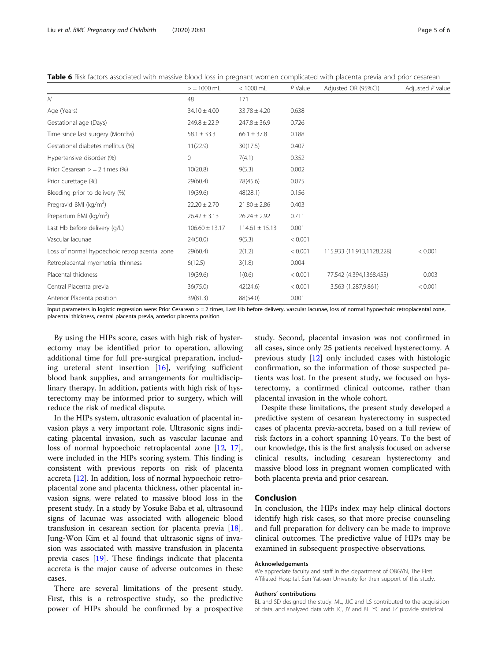<span id="page-4-0"></span>Table 6 Risk factors associated with massive blood loss in pregnant women complicated with placenta previa and prior cesarean

|                                               | $>$ = 1000 mL      | $< 1000$ mL        | $P$ Value | Adjusted OR (95%CI)       | Adjusted P value |
|-----------------------------------------------|--------------------|--------------------|-----------|---------------------------|------------------|
| $\mathcal N$                                  | 48                 | 171                |           |                           |                  |
| Age (Years)                                   | $34.10 \pm 4.00$   | $33.78 \pm 4.20$   | 0.638     |                           |                  |
| Gestational age (Days)                        | $249.8 \pm 22.9$   | $247.8 \pm 36.9$   | 0.726     |                           |                  |
| Time since last surgery (Months)              | $58.1 \pm 33.3$    | $66.1 \pm 37.8$    | 0.188     |                           |                  |
| Gestational diabetes mellitus (%)             | 11(22.9)           | 30(17.5)           | 0.407     |                           |                  |
| Hypertensive disorder (%)                     | $\mathbf{0}$       | 7(4.1)             | 0.352     |                           |                  |
| Prior Cesarean $>$ = 2 times (%)              | 10(20.8)           | 9(5.3)             | 0.002     |                           |                  |
| Prior curettage (%)                           | 29(60.4)           | 78(45.6)           | 0.075     |                           |                  |
| Bleeding prior to delivery (%)                | 19(39.6)           | 48(28.1)           | 0.156     |                           |                  |
| Pregravid BMI ( $kg/m2$ )                     | $22.20 \pm 2.70$   | $21.80 \pm 2.86$   | 0.403     |                           |                  |
| Prepartum BMI (kg/m <sup>2</sup> )            | $26.42 \pm 3.13$   | $26.24 \pm 2.92$   | 0.711     |                           |                  |
| Last Hb before delivery (g/L)                 | $106.60 \pm 13.17$ | $114.61 \pm 15.13$ | 0.001     |                           |                  |
| Vascular lacunae                              | 24(50.0)           | 9(5.3)             | < 0.001   |                           |                  |
| Loss of normal hypoechoic retroplacental zone | 29(60.4)           | 2(1.2)             | < 0.001   | 115.933 (11.913,1128.228) | < 0.001          |
| Retroplacental myometrial thinness            | 6(12.5)            | 3(1.8)             | 0.004     |                           |                  |
| Placental thickness                           | 19(39.6)           | 1(0.6)             | < 0.001   | 77.542 (4.394,1368.455)   | 0.003            |
| Central Placenta previa                       | 36(75.0)           | 42(24.6)           | < 0.001   | 3.563 (1.287,9.861)       | < 0.001          |
| Anterior Placenta position                    | 39(81.3)           | 88(54.0)           | 0.001     |                           |                  |

Input parameters in logistic regression were: Prior Cesarean > = 2 times, Last Hb before delivery, vascular lacunae, loss of normal hypoechoic retroplacental zone, placental thickness, central placenta previa, anterior placenta position

By using the HIPs score, cases with high risk of hysterectomy may be identified prior to operation, allowing additional time for full pre-surgical preparation, including ureteral stent insertion [[16\]](#page-5-0), verifying sufficient blood bank supplies, and arrangements for multidisciplinary therapy. In addition, patients with high risk of hysterectomy may be informed prior to surgery, which will reduce the risk of medical dispute.

In the HIPs system, ultrasonic evaluation of placental invasion plays a very important role. Ultrasonic signs indicating placental invasion, such as vascular lacunae and loss of normal hypoechoic retroplacental zone [\[12,](#page-5-0) [17](#page-5-0)], were included in the HIPs scoring system. This finding is consistent with previous reports on risk of placenta accreta [\[12\]](#page-5-0). In addition, loss of normal hypoechoic retroplacental zone and placenta thickness, other placental invasion signs, were related to massive blood loss in the present study. In a study by Yosuke Baba et al, ultrasound signs of lacunae was associated with allogeneic blood transfusion in cesarean section for placenta previa [[18](#page-5-0)]. Jung-Won Kim et al found that ultrasonic signs of invasion was associated with massive transfusion in placenta previa cases [\[19\]](#page-5-0). These findings indicate that placenta accreta is the major cause of adverse outcomes in these cases.

There are several limitations of the present study. First, this is a retrospective study, so the predictive power of HIPs should be confirmed by a prospective study. Second, placental invasion was not confirmed in all cases, since only 25 patients received hysterectomy. A previous study [\[12\]](#page-5-0) only included cases with histologic confirmation, so the information of those suspected patients was lost. In the present study, we focused on hysterectomy, a confirmed clinical outcome, rather than placental invasion in the whole cohort.

Despite these limitations, the present study developed a predictive system of cesarean hysterectomy in suspected cases of placenta previa-accreta, based on a full review of risk factors in a cohort spanning 10 years. To the best of our knowledge, this is the first analysis focused on adverse clinical results, including cesarean hysterectomy and massive blood loss in pregnant women complicated with both placenta previa and prior cesarean.

# Conclusion

In conclusion, the HIPs index may help clinical doctors identify high risk cases, so that more precise counseling and full preparation for delivery can be made to improve clinical outcomes. The predictive value of HIPs may be examined in subsequent prospective observations.

## Acknowledgements

We appreciate faculty and staff in the department of OBGYN, The First Affiliated Hospital, Sun Yat-sen University for their support of this study.

#### Authors' contributions

BL and SD designed the study. ML, JJC and LS contributed to the acquisition of data, and analyzed data with JC, JY and BL. YC and JZ provide statistical